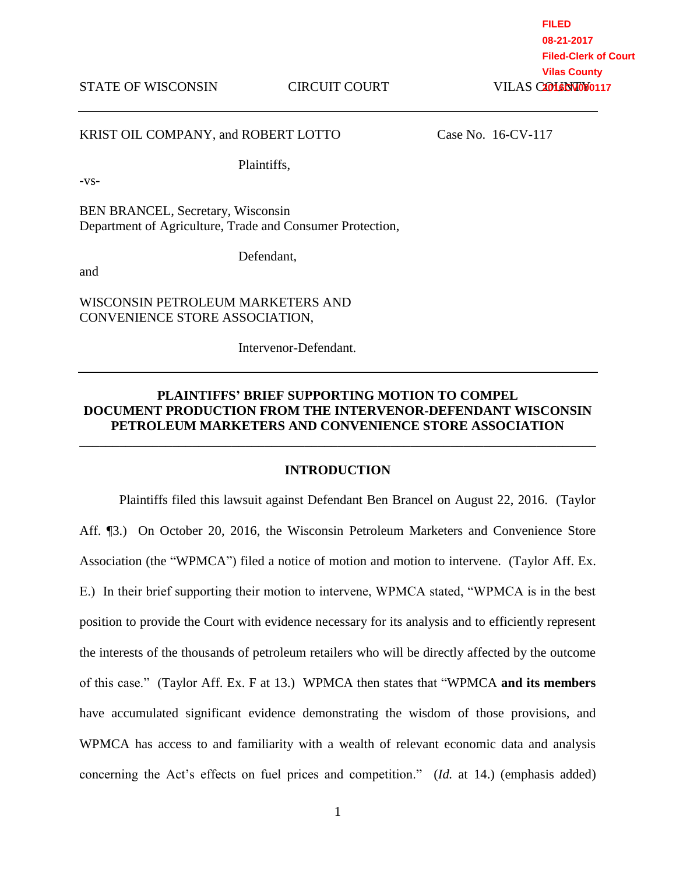STATE OF WISCONSIN CIRCUIT COURT

**FILED 08-21-2017 Filed-Clerk of Court Vilas County 2016CV000117** 

### KRIST OIL COMPANY, and ROBERT LOTTO Case No. 16-CV-117

Plaintiffs,

-vs-

BEN BRANCEL, Secretary, Wisconsin Department of Agriculture, Trade and Consumer Protection,

and

Defendant,

WISCONSIN PETROLEUM MARKETERS AND CONVENIENCE STORE ASSOCIATION,

Intervenor-Defendant.

# **PLAINTIFFS' BRIEF SUPPORTING MOTION TO COMPEL DOCUMENT PRODUCTION FROM THE INTERVENOR-DEFENDANT WISCONSIN PETROLEUM MARKETERS AND CONVENIENCE STORE ASSOCIATION**

#### **INTRODUCTION**

\_\_\_\_\_\_\_\_\_\_\_\_\_\_\_\_\_\_\_\_\_\_\_\_\_\_\_\_\_\_\_\_\_\_\_\_\_\_\_\_\_\_\_\_\_\_\_\_\_\_\_\_\_\_\_\_\_\_\_\_\_\_\_\_\_\_\_\_\_\_\_\_\_\_\_\_\_\_

Plaintiffs filed this lawsuit against Defendant Ben Brancel on August 22, 2016. (Taylor Aff. ¶3.) On October 20, 2016, the Wisconsin Petroleum Marketers and Convenience Store Association (the "WPMCA") filed a notice of motion and motion to intervene. (Taylor Aff. Ex. E.) In their brief supporting their motion to intervene, WPMCA stated, "WPMCA is in the best position to provide the Court with evidence necessary for its analysis and to efficiently represent the interests of the thousands of petroleum retailers who will be directly affected by the outcome of this case." (Taylor Aff. Ex. F at 13.) WPMCA then states that "WPMCA **and its members** have accumulated significant evidence demonstrating the wisdom of those provisions, and WPMCA has access to and familiarity with a wealth of relevant economic data and analysis concerning the Act's effects on fuel prices and competition." (*Id.* at 14.) (emphasis added)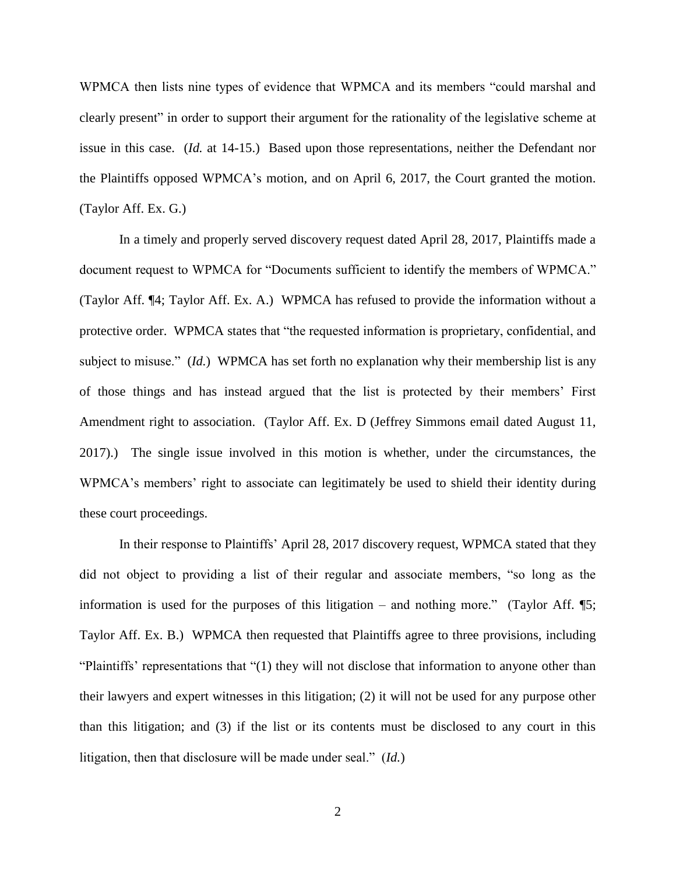WPMCA then lists nine types of evidence that WPMCA and its members "could marshal and clearly present" in order to support their argument for the rationality of the legislative scheme at issue in this case. (*Id.* at 14-15.) Based upon those representations, neither the Defendant nor the Plaintiffs opposed WPMCA's motion, and on April 6, 2017, the Court granted the motion. (Taylor Aff. Ex. G.)

In a timely and properly served discovery request dated April 28, 2017, Plaintiffs made a document request to WPMCA for "Documents sufficient to identify the members of WPMCA." (Taylor Aff. ¶4; Taylor Aff. Ex. A.) WPMCA has refused to provide the information without a protective order. WPMCA states that "the requested information is proprietary, confidential, and subject to misuse." (*Id.*) WPMCA has set forth no explanation why their membership list is any of those things and has instead argued that the list is protected by their members' First Amendment right to association. (Taylor Aff. Ex. D (Jeffrey Simmons email dated August 11, 2017).) The single issue involved in this motion is whether, under the circumstances, the WPMCA's members' right to associate can legitimately be used to shield their identity during these court proceedings.

In their response to Plaintiffs' April 28, 2017 discovery request, WPMCA stated that they did not object to providing a list of their regular and associate members, "so long as the information is used for the purposes of this litigation – and nothing more." (Taylor Aff.  $\mathbb{S}$ ; Taylor Aff. Ex. B.) WPMCA then requested that Plaintiffs agree to three provisions, including "Plaintiffs' representations that "(1) they will not disclose that information to anyone other than their lawyers and expert witnesses in this litigation; (2) it will not be used for any purpose other than this litigation; and (3) if the list or its contents must be disclosed to any court in this litigation, then that disclosure will be made under seal." (*Id.*)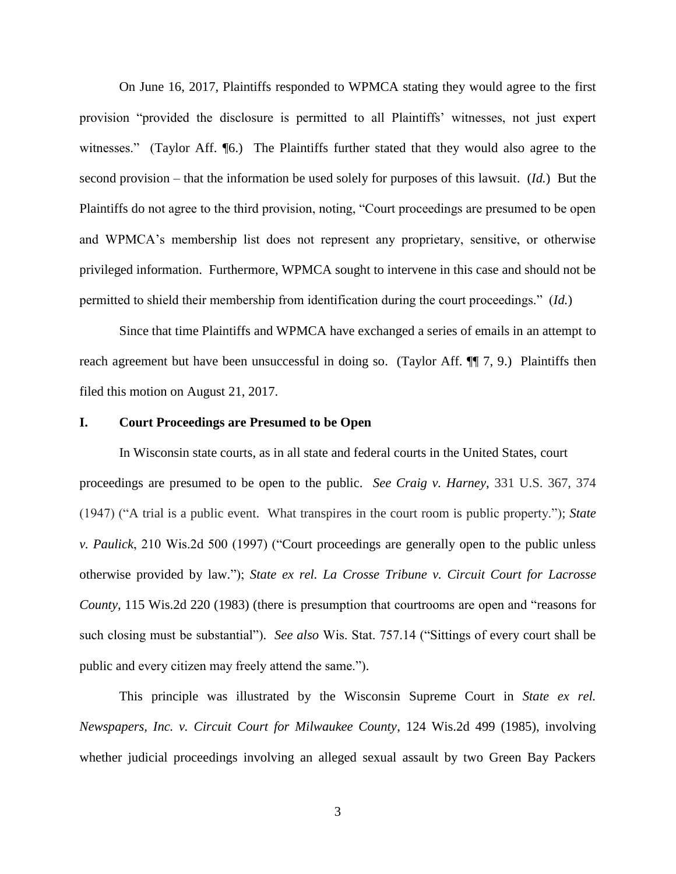On June 16, 2017, Plaintiffs responded to WPMCA stating they would agree to the first provision "provided the disclosure is permitted to all Plaintiffs' witnesses, not just expert witnesses." (Taylor Aff. [6.] The Plaintiffs further stated that they would also agree to the second provision – that the information be used solely for purposes of this lawsuit. (*Id.*) But the Plaintiffs do not agree to the third provision, noting, "Court proceedings are presumed to be open and WPMCA's membership list does not represent any proprietary, sensitive, or otherwise privileged information. Furthermore, WPMCA sought to intervene in this case and should not be permitted to shield their membership from identification during the court proceedings." (*Id.*)

Since that time Plaintiffs and WPMCA have exchanged a series of emails in an attempt to reach agreement but have been unsuccessful in doing so. (Taylor Aff. ¶ 7, 9.) Plaintiffs then filed this motion on August 21, 2017.

#### **I. Court Proceedings are Presumed to be Open**

In Wisconsin state courts, as in all state and federal courts in the United States, court proceedings are presumed to be open to the public. *See Craig v. Harney*, 331 U.S. 367, 374 (1947) ("A trial is a public event. What transpires in the court room is public property."); *State v. Paulick*, 210 Wis.2d 500 (1997) ("Court proceedings are generally open to the public unless otherwise provided by law."); *State ex rel. La Crosse Tribune v. Circuit Court for Lacrosse County*, 115 Wis.2d 220 (1983) (there is presumption that courtrooms are open and "reasons for such closing must be substantial"). *See also* Wis. Stat. 757.14 ("Sittings of every court shall be public and every citizen may freely attend the same.").

This principle was illustrated by the Wisconsin Supreme Court in *State ex rel. Newspapers, Inc. v. Circuit Court for Milwaukee County*, 124 Wis.2d 499 (1985), involving whether judicial proceedings involving an alleged sexual assault by two Green Bay Packers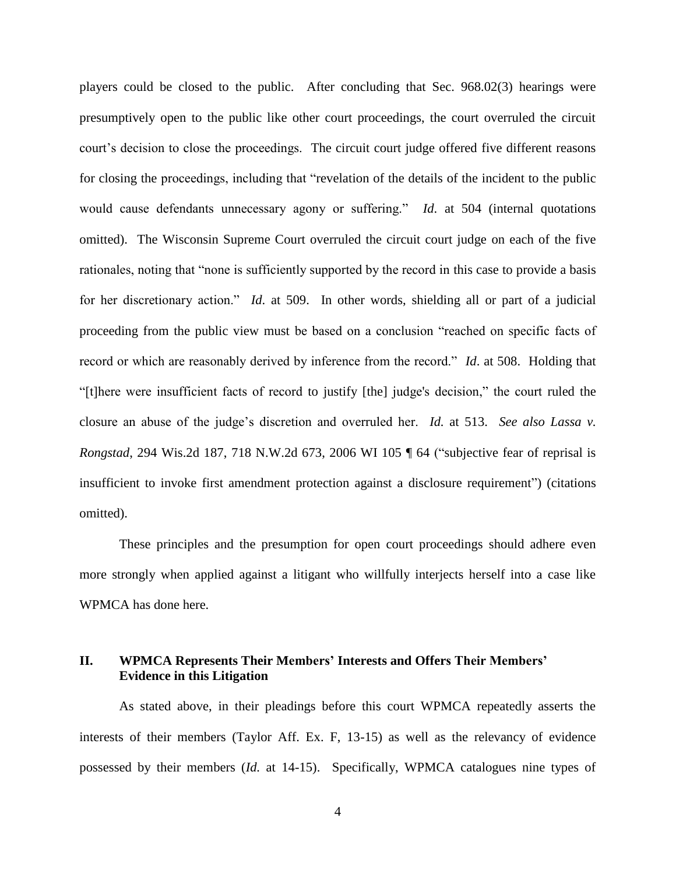players could be closed to the public. After concluding that Sec. 968.02(3) hearings were presumptively open to the public like other court proceedings, the court overruled the circuit court's decision to close the proceedings. The circuit court judge offered five different reasons for closing the proceedings, including that "revelation of the details of the incident to the public would cause defendants unnecessary agony or suffering." *Id*. at 504 (internal quotations omitted). The Wisconsin Supreme Court overruled the circuit court judge on each of the five rationales, noting that "none is sufficiently supported by the record in this case to provide a basis for her discretionary action." *Id*. at 509. In other words, shielding all or part of a judicial proceeding from the public view must be based on a conclusion "reached on specific facts of record or which are reasonably derived by inference from the record." *Id*. at 508. Holding that "[t]here were insufficient facts of record to justify [the] judge's decision," the court ruled the closure an abuse of the judge's discretion and overruled her. *Id.* at 513. *See also Lassa v. Rongstad*, 294 Wis.2d 187, 718 N.W.2d 673, 2006 WI 105 ¶ 64 ("subjective fear of reprisal is insufficient to invoke first amendment protection against a disclosure requirement") (citations omitted).

These principles and the presumption for open court proceedings should adhere even more strongly when applied against a litigant who willfully interjects herself into a case like WPMCA has done here.

## **II. WPMCA Represents Their Members' Interests and Offers Their Members' Evidence in this Litigation**

As stated above, in their pleadings before this court WPMCA repeatedly asserts the interests of their members (Taylor Aff. Ex. F, 13-15) as well as the relevancy of evidence possessed by their members (*Id.* at 14-15). Specifically, WPMCA catalogues nine types of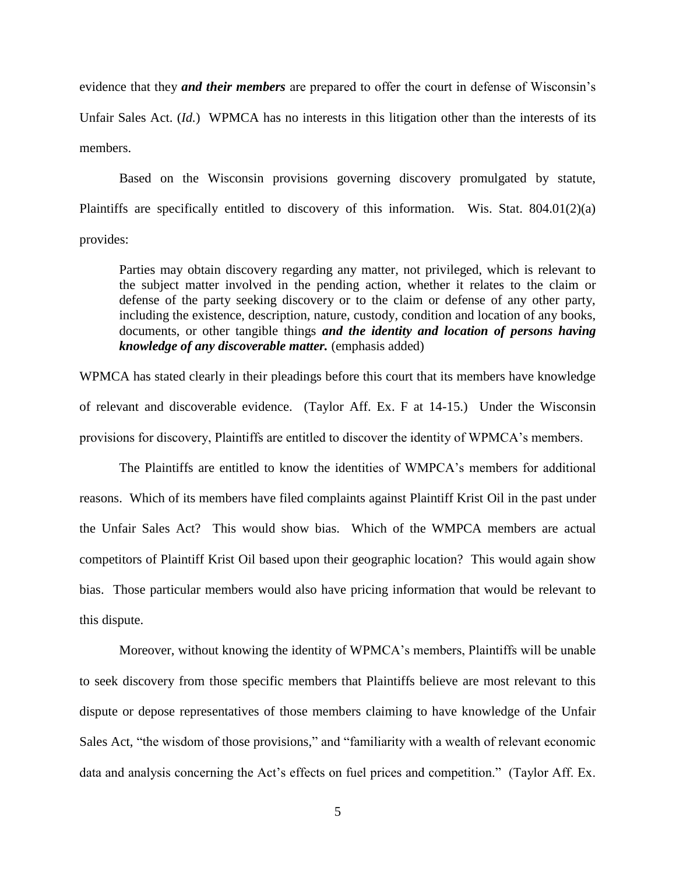evidence that they *and their members* are prepared to offer the court in defense of Wisconsin's Unfair Sales Act. (*Id.*) WPMCA has no interests in this litigation other than the interests of its members.

Based on the Wisconsin provisions governing discovery promulgated by statute, Plaintiffs are specifically entitled to discovery of this information. Wis. Stat. 804.01(2)(a) provides:

Parties may obtain discovery regarding any matter, not privileged, which is relevant to the subject matter involved in the pending action, whether it relates to the claim or defense of the party seeking discovery or to the claim or defense of any other party, including the existence, description, nature, custody, condition and location of any books, documents, or other tangible things *and the identity and location of persons having knowledge of any discoverable matter.* (emphasis added)

WPMCA has stated clearly in their pleadings before this court that its members have knowledge of relevant and discoverable evidence. (Taylor Aff. Ex. F at 14-15.) Under the Wisconsin provisions for discovery, Plaintiffs are entitled to discover the identity of WPMCA's members.

The Plaintiffs are entitled to know the identities of WMPCA's members for additional reasons. Which of its members have filed complaints against Plaintiff Krist Oil in the past under the Unfair Sales Act? This would show bias. Which of the WMPCA members are actual competitors of Plaintiff Krist Oil based upon their geographic location? This would again show bias. Those particular members would also have pricing information that would be relevant to this dispute.

Moreover, without knowing the identity of WPMCA's members, Plaintiffs will be unable to seek discovery from those specific members that Plaintiffs believe are most relevant to this dispute or depose representatives of those members claiming to have knowledge of the Unfair Sales Act, "the wisdom of those provisions," and "familiarity with a wealth of relevant economic data and analysis concerning the Act's effects on fuel prices and competition." (Taylor Aff. Ex.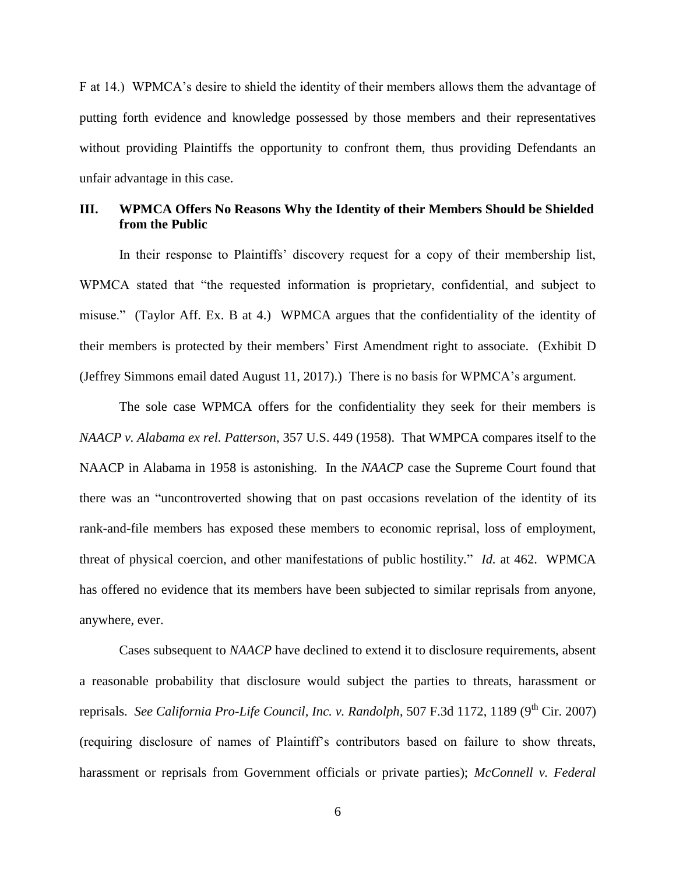F at 14.) WPMCA's desire to shield the identity of their members allows them the advantage of putting forth evidence and knowledge possessed by those members and their representatives without providing Plaintiffs the opportunity to confront them, thus providing Defendants an unfair advantage in this case.

## **III. WPMCA Offers No Reasons Why the Identity of their Members Should be Shielded from the Public**

In their response to Plaintiffs' discovery request for a copy of their membership list, WPMCA stated that "the requested information is proprietary, confidential, and subject to misuse." (Taylor Aff. Ex. B at 4.) WPMCA argues that the confidentiality of the identity of their members is protected by their members' First Amendment right to associate. (Exhibit D (Jeffrey Simmons email dated August 11, 2017).) There is no basis for WPMCA's argument.

The sole case WPMCA offers for the confidentiality they seek for their members is *NAACP v. Alabama ex rel. Patterson*, 357 U.S. 449 (1958). That WMPCA compares itself to the NAACP in Alabama in 1958 is astonishing. In the *NAACP* case the Supreme Court found that there was an "uncontroverted showing that on past occasions revelation of the identity of its rank-and-file members has exposed these members to economic reprisal, loss of employment, threat of physical coercion, and other manifestations of public hostility." *Id.* at 462. WPMCA has offered no evidence that its members have been subjected to similar reprisals from anyone, anywhere, ever.

Cases subsequent to *NAACP* have declined to extend it to disclosure requirements, absent a reasonable probability that disclosure would subject the parties to threats, harassment or reprisals. *See California Pro-Life Council, Inc. v. Randolph*, 507 F.3d 1172, 1189 (9<sup>th</sup> Cir. 2007) (requiring disclosure of names of Plaintiff's contributors based on failure to show threats, harassment or reprisals from Government officials or private parties); *McConnell v. Federal*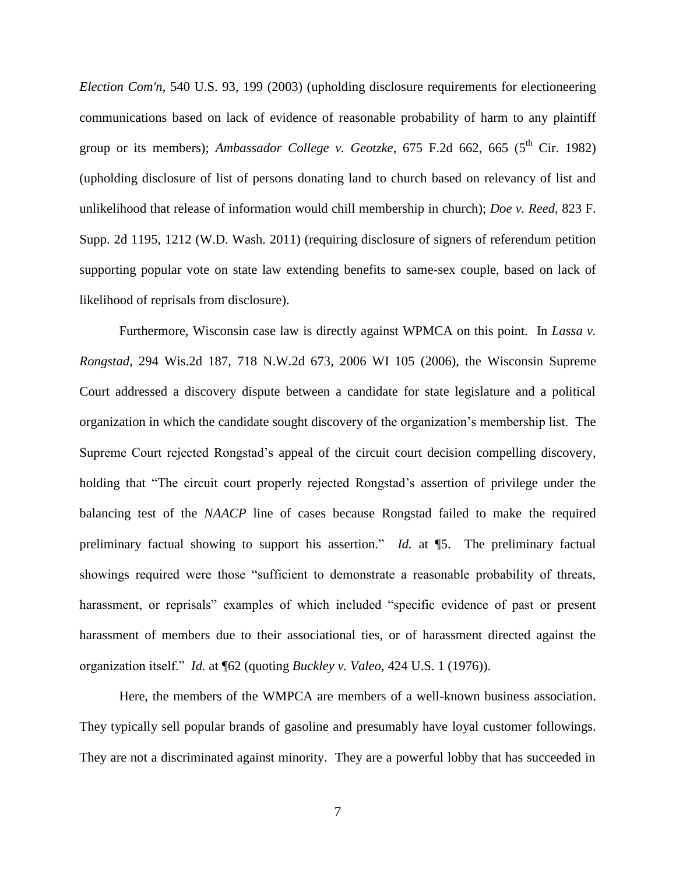*Election Com'n*, 540 U.S. 93, 199 (2003) (upholding disclosure requirements for electioneering communications based on lack of evidence of reasonable probability of harm to any plaintiff group or its members); *Ambassador College v. Geotzke*, 675 F.2d 662, 665 ( $5^{th}$  Cir. 1982) (upholding disclosure of list of persons donating land to church based on relevancy of list and unlikelihood that release of information would chill membership in church); *Doe v. Reed*, 823 F. Supp. 2d 1195, 1212 (W.D. Wash. 2011) (requiring disclosure of signers of referendum petition supporting popular vote on state law extending benefits to same-sex couple, based on lack of likelihood of reprisals from disclosure).

Furthermore, Wisconsin case law is directly against WPMCA on this point. In *Lassa v. Rongstad*, 294 Wis.2d 187, 718 N.W.2d 673, 2006 WI 105 (2006), the Wisconsin Supreme Court addressed a discovery dispute between a candidate for state legislature and a political organization in which the candidate sought discovery of the organization's membership list. The Supreme Court rejected Rongstad's appeal of the circuit court decision compelling discovery, holding that "The circuit court properly rejected Rongstad's assertion of privilege under the balancing test of the *NAACP* line of cases because Rongstad failed to make the required preliminary factual showing to support his assertion." *Id.* at ¶5. The preliminary factual showings required were those "sufficient to demonstrate a reasonable probability of threats, harassment, or reprisals" examples of which included "specific evidence of past or present harassment of members due to their associational ties, or of harassment directed against the organization itself." *Id.* at ¶62 (quoting *Buckley v. Valeo,* 424 U.S. 1 (1976)).

Here, the members of the WMPCA are members of a well-known business association. They typically sell popular brands of gasoline and presumably have loyal customer followings. They are not a discriminated against minority. They are a powerful lobby that has succeeded in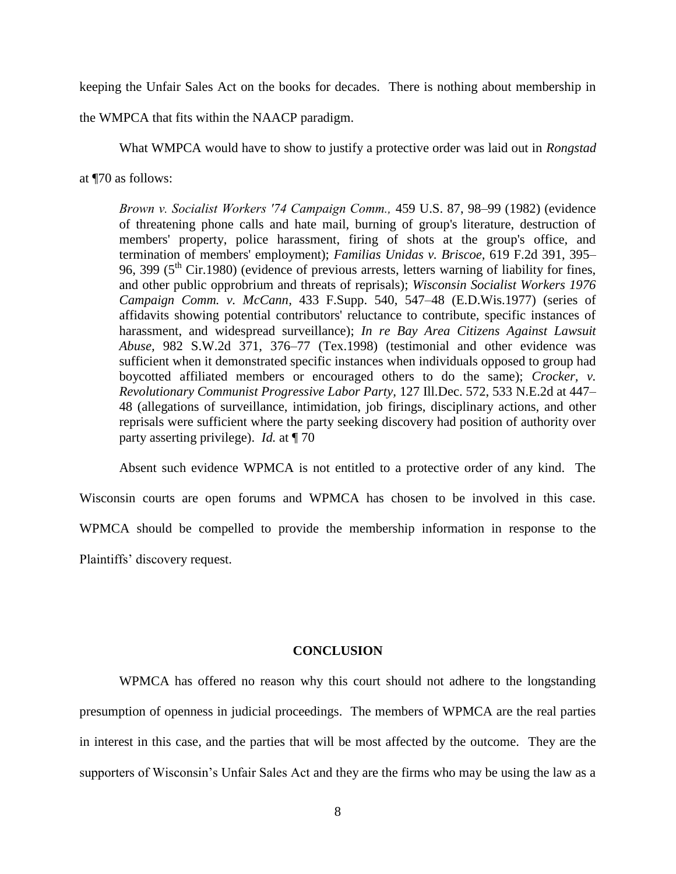keeping the Unfair Sales Act on the books for decades. There is nothing about membership in

the WMPCA that fits within the NAACP paradigm.

What WMPCA would have to show to justify a protective order was laid out in *Rongstad* 

at ¶70 as follows:

*Brown v. Socialist Workers ′74 Campaign Comm.,* 459 U.S. 87, 98–99 (1982) (evidence of threatening phone calls and hate mail, burning of group's literature, destruction of members' property, police harassment, firing of shots at the group's office, and termination of members' employment); *Familias Unidas v. Briscoe,* 619 F.2d 391, 395– 96, 399 ( $5<sup>th</sup>$  Cir.1980) (evidence of previous arrests, letters warning of liability for fines, and other public opprobrium and threats of reprisals); *Wisconsin Socialist Workers 1976 Campaign Comm. v. McCann,* 433 F.Supp. 540, 547–48 (E.D.Wis.1977) (series of affidavits showing potential contributors' reluctance to contribute, specific instances of harassment, and widespread surveillance); *In re Bay Area Citizens Against Lawsuit Abuse,* 982 S.W.2d 371, 376–77 (Tex.1998) (testimonial and other evidence was sufficient when it demonstrated specific instances when individuals opposed to group had boycotted affiliated members or encouraged others to do the same); *Crocker, v. Revolutionary Communist Progressive Labor Party,* 127 Ill.Dec. 572, 533 N.E.2d at 447– 48 (allegations of surveillance, intimidation, job firings, disciplinary actions, and other reprisals were sufficient where the party seeking discovery had position of authority over party asserting privilege). *Id.* at ¶ 70

Absent such evidence WPMCA is not entitled to a protective order of any kind. The Wisconsin courts are open forums and WPMCA has chosen to be involved in this case. WPMCA should be compelled to provide the membership information in response to the Plaintiffs' discovery request.

### **CONCLUSION**

WPMCA has offered no reason why this court should not adhere to the longstanding presumption of openness in judicial proceedings. The members of WPMCA are the real parties in interest in this case, and the parties that will be most affected by the outcome. They are the supporters of Wisconsin's Unfair Sales Act and they are the firms who may be using the law as a